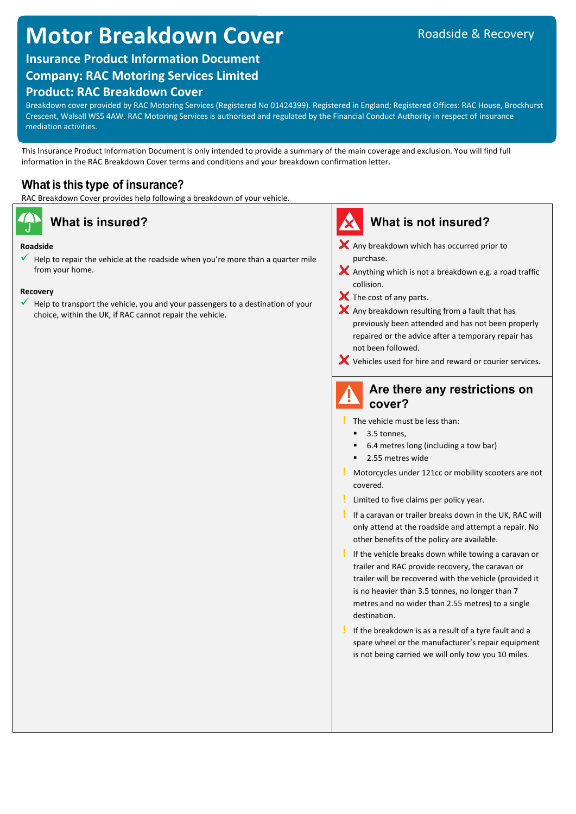# **Motor Breakdown Cover**

## **Insurance Product Information Document**

## **Company: RAC Motoring Services Limited**

## **Product: RAC Breakdown Cover**

Breakdown cover provided by RAC Motoring Services (Registered No 01424399). Registered in England; Registered Offices: RAC House, Brockhurst Crescent, Walsall WS5 4AW. RAC Motoring Services is authorised and regulated by the Financial Conduct Authority in respect of insurance mediation activities.

This Insurance Product Information Document is only intended to provide a summary of the main coverage and exclusion. You will find full information in the RAC Breakdown Cover terms and conditions and your breakdown confirmation letter.

## **What is this type of insurance?**

RAC Breakdown Cover provides help following a breakdown of your vehicle.

### **Roadside**

 Help to repair the vehicle at the roadside when you're more than a quarter mile from your home.

### **Recovery**

 Help to transport the vehicle, you and your passengers to a destination of your choice, within the UK, if RAC cannot repair the vehicle.



**!** The vehicle must be less than:

- 3.5 tonnes,
- 6.4 metres long (including a tow bar)
- **2.55 metres wide**
- **!** Motorcycles under 121cc or mobility scooters are not covered.
- **!** Limited to five claims per policy year.
- **!** If a caravan or trailer breaks down in the UK, RAC will only attend at the roadside and attempt a repair. No other benefits of the policy are available.
- **!** If the vehicle breaks down while towing a caravan or trailer and RAC provide recovery, the caravan or trailer will be recovered with the vehicle (provided it is no heavier than 3.5 tonnes, no longer than 7 metres and no wider than 2.55 metres) to a single destination.
- **!** If the breakdown is as a result of a tyre fault and a spare wheel or the manufacturer's repair equipment is not being carried we will only tow you 10 miles.